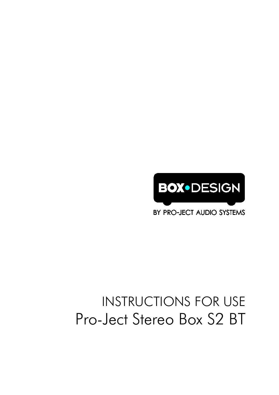

BY PRO-JECT AUDIO SYSTEMS

# INSTRUCTIONS FOR USE Pro-Ject Stereo Box S2 BT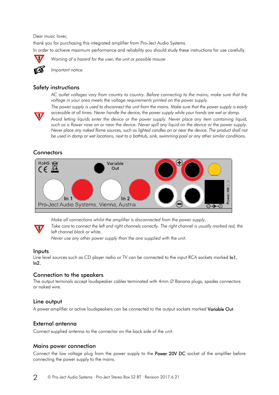Dear music lover,

thank you for purchasing this integrated amplifier from Pro-Ject Audio Systems. In order to achieve maximum performance and reliability you should study these instructions for use carefully.



*Warning of a hazard for the user, the unit or possible misuse*



*Important notice*

# Safety instructions

*AC outlet voltages vary from country to country. Before connecting to the mains, make sure that the voltage in your area meets the voltage requirements printed on the power supply.*



*The power supply is used to disconnect the unit from the mains. Make sure that the power supply is easily accessible at all times. Never handle the device, the power supply while your hands are wet or damp.*

*Avoid letting liquids enter the device or the power supply. Never place any item containing liquid, such as a flower vase on or near the device. Never spill any liquid on the device or the power supply. Never place any naked flame sources, such as lighted candles on or near the device. The product shall not be used in damp or wet locations, next to a bathtub, sink, swimming pool or any other similar conditions.*

# **Connectors**



*Make all connections whilst the amplifier is disconnected from the power supply.*

*Take care to connect the left and right channels correctly. The right channel is usually marked red, the left channel black or white.*

*Never use any other power supply than the one supplied with the unit.*

# Inputs

Line level sources such as CD player radio or TV can be connected to the input RCA sockets marked In1, In2.

# Connection to the speakers

The output terminals accept loudspeaker cables terminated with 4mm ∅ Banana plugs, spades connectors or naked wire.

# Line output

A power amplifier or active loudspeakers can be connected to the output sockets marked Variable Out.

# External antenna

Connect supplied antenna to the connector on the back side of the unit.

# Mains power connection

Connect the low voltage plug from the power supply to the Power 20V DC socket of the amplifier before connecting the power supply to the mains.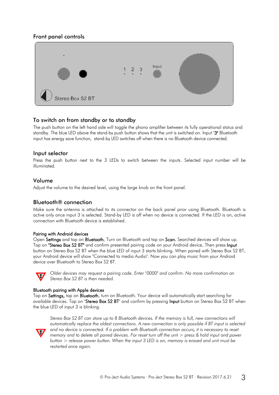# Front panel controls



# To switch on from standby or to standby

The push button on the left hand side will toggle the phono amplifier between its fully operational status and standby. The blue LED above the stand-by push button shows that the unit is switched on. Input "3" Bluetooth input has energy save function, stand-by LED switches off when there is no Bluetooth device connected.

#### Input selector

Press the push button next to the 3 LEDs to switch between the inputs. Selected input number will be illuminated.

#### Volume

Adjust the volume to the desired level, using the large knob on the front panel.

# Bluetooth® connection

Make sure the antenna is attached to its connector on the back panel prior using Bluetooth. Bluetooth is active only once input 3 is selected. Stand-by LED is off when no device is connected. If the LED is on, active connection with Bluetooth device is established.

#### Pairing with Android devices

Open Settings and tap on Bluetooth. Turn on Bluetooth and tap on Scan. Searched devices will show up. Tap on "Stereo Box S2 BT" and confirm presented pairing code on your Android device. Then press Input button on Stereo Box S2 BT when the blue LED of input 3 starts blinking. When paired with Stereo Box S2 BT, your Android device will show "Connected to media Audio". Now you can play music from your Android device over Bluetooth to Stereo Box S2 BT.



*Older devices may request a pairing code. Enter "0000" and confirm. No more confirmation on Stereo Box S2 BT is then needed.*

#### Bluetooth pairing with Apple devices

Tap on Settings, tap on Bluetooth, turn on Bluetooth. Your device will automatically start searching for available devices. Tap on "Stereo Box S2 BT" and confirm by pressing Input button on Stereo Box S2 BT when the blue LED of input 3 is blinking.



*Stereo Box S2 BT can store up to 8 Bluetooth devices. If the memory is full, new connections will automatically replace the oldest connections. A new connection is only possible if BT input is selected and no device is connected. If a problem with Bluetooth connection occurs, it is necessary to reset memory and to delete all paired devices. For reset turn off the unit > press & hold input and power button > release power button. When the input 3 LED is on, memory is erased and unit must be restarted once again.*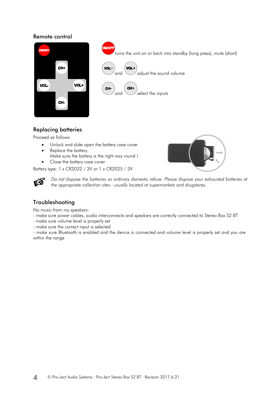#### Remote control



turns the unit on or back into standby (long press), mute (short) **VOI** and  $\bigcup$  adjust the sound volume CHand  $\bigvee$  select the inputs

# Replacing batteries

Proceed as follows:

- Unlock and slide open the battery case cover
- Replace the battery. Make sure the battery is the right way round !
- Close the battery case cover

Battery type: 1 x CR2032 / 3V or 1 x CR2025 / 3V



*Do not dispose the batteries as ordinary domestic refuse. Please dispose your exhausted batteries at the appropriate collection sites - usually located at supermarkets and drugstores.*

# Troubleshooting

No music from my speakers:

- make sure power cables, audio interconnects and speakers are correctly connected to Stereo Box S2 BT
- make sure volume level is properly set
- make sure the correct input is selected

- make sure Bluetooth is enabled and the device is connected and volume level is properly set and you are within the range